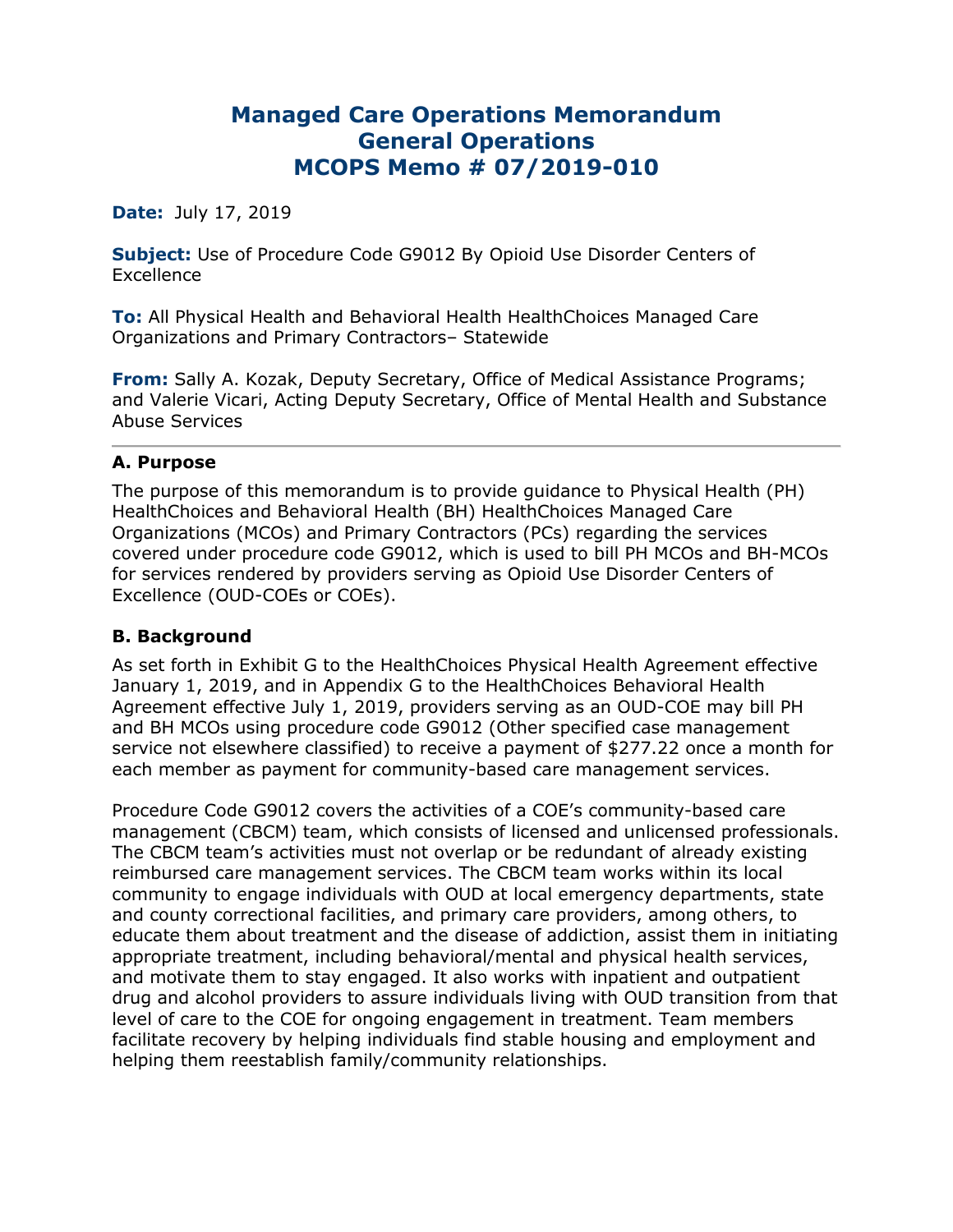# **Managed Care Operations Memorandum General Operations MCOPS Memo # 07/2019-010**

#### **Date:** July 17, 2019

**Subject:** Use of Procedure Code G9012 By Opioid Use Disorder Centers of **Excellence** 

**To:** All Physical Health and Behavioral Health HealthChoices Managed Care Organizations and Primary Contractors– Statewide

**From:** Sally A. Kozak, Deputy Secretary, Office of Medical Assistance Programs; and Valerie Vicari, Acting Deputy Secretary, Office of Mental Health and Substance Abuse Services

#### **A. Purpose**

The purpose of this memorandum is to provide guidance to Physical Health (PH) HealthChoices and Behavioral Health (BH) HealthChoices Managed Care Organizations (MCOs) and Primary Contractors (PCs) regarding the services covered under procedure code G9012, which is used to bill PH MCOs and BH-MCOs for services rendered by providers serving as Opioid Use Disorder Centers of Excellence (OUD-COEs or COEs).

#### **B. Background**

As set forth in Exhibit G to the HealthChoices Physical Health Agreement effective January 1, 2019, and in Appendix G to the HealthChoices Behavioral Health Agreement effective July 1, 2019, providers serving as an OUD-COE may bill PH and BH MCOs using procedure code G9012 (Other specified case management service not elsewhere classified) to receive a payment of \$277.22 once a month for each member as payment for community-based care management services.

Procedure Code G9012 covers the activities of a COE's community-based care management (CBCM) team, which consists of licensed and unlicensed professionals. The CBCM team's activities must not overlap or be redundant of already existing reimbursed care management services. The CBCM team works within its local community to engage individuals with OUD at local emergency departments, state and county correctional facilities, and primary care providers, among others, to educate them about treatment and the disease of addiction, assist them in initiating appropriate treatment, including behavioral/mental and physical health services, and motivate them to stay engaged. It also works with inpatient and outpatient drug and alcohol providers to assure individuals living with OUD transition from that level of care to the COE for ongoing engagement in treatment. Team members facilitate recovery by helping individuals find stable housing and employment and helping them reestablish family/community relationships.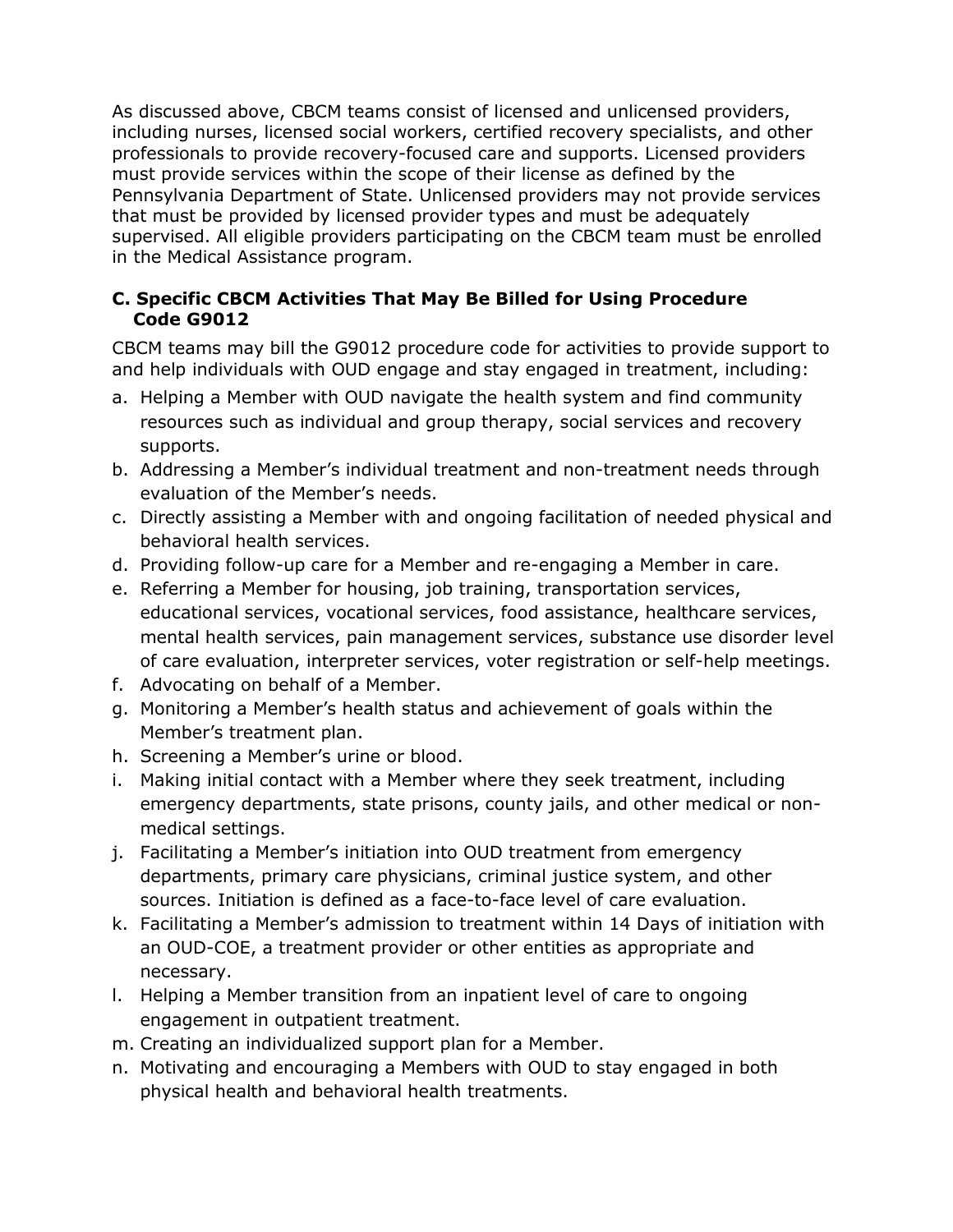As discussed above, CBCM teams consist of licensed and unlicensed providers, including nurses, licensed social workers, certified recovery specialists, and other professionals to provide recovery-focused care and supports. Licensed providers must provide services within the scope of their license as defined by the Pennsylvania Department of State. Unlicensed providers may not provide services that must be provided by licensed provider types and must be adequately supervised. All eligible providers participating on the CBCM team must be enrolled in the Medical Assistance program.

### **C. Specific CBCM Activities That May Be Billed for Using Procedure Code G9012**

CBCM teams may bill the G9012 procedure code for activities to provide support to and help individuals with OUD engage and stay engaged in treatment, including:

- a. Helping a Member with OUD navigate the health system and find community resources such as individual and group therapy, social services and recovery supports.
- b. Addressing a Member's individual treatment and non-treatment needs through evaluation of the Member's needs.
- c. Directly assisting a Member with and ongoing facilitation of needed physical and behavioral health services.
- d. Providing follow-up care for a Member and re-engaging a Member in care.
- e. Referring a Member for housing, job training, transportation services, educational services, vocational services, food assistance, healthcare services, mental health services, pain management services, substance use disorder level of care evaluation, interpreter services, voter registration or self-help meetings.
- f. Advocating on behalf of a Member.
- g. Monitoring a Member's health status and achievement of goals within the Member's treatment plan.
- h. Screening a Member's urine or blood.
- i. Making initial contact with a Member where they seek treatment, including emergency departments, state prisons, county jails, and other medical or nonmedical settings.
- j. Facilitating a Member's initiation into OUD treatment from emergency departments, primary care physicians, criminal justice system, and other sources. Initiation is defined as a face-to-face level of care evaluation.
- k. Facilitating a Member's admission to treatment within 14 Days of initiation with an OUD-COE, a treatment provider or other entities as appropriate and necessary.
- l. Helping a Member transition from an inpatient level of care to ongoing engagement in outpatient treatment.
- m. Creating an individualized support plan for a Member.
- n. Motivating and encouraging a Members with OUD to stay engaged in both physical health and behavioral health treatments.